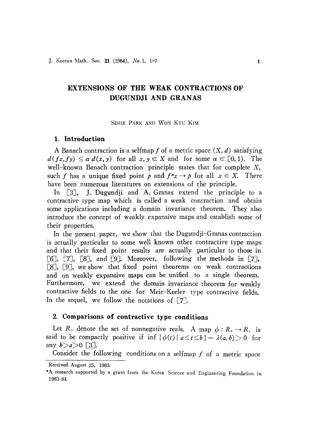# **EXTENSIONS OF THE WEAK CONTRACTIONS OF DUGUNDJI AND GRANAS**

SEHIE PARK AND WON KYU KIM

## **1. Introduction**

A Banach contraction is a selfmap f of a metric space  $(X, d)$  satisfying  $d(fx, fy) \leq \alpha d(x, y)$  for all  $x, y \in X$  and for some  $\alpha \in [0,1)$ . The well-known Banach contraction principle states that for complete X, such *f* has a unique fixed point *p* and  $f^{n}x \rightarrow p$  for all  $x \in X$ . There have been numerous literatures on extensions of the principle.

In [3], J. Dugundji and A. Granas extend the principle to a contractive type map which is called a weak contraction and obtain some applications including a domain invariance theorem. They also introduce the concept of weakly expansive maps and establish some of their properties.

In the present paper, we show that the Dugundji-Granas contraction is actually particular to some well known other contractive type maps and that their fixed point results are actually particular to those in [6], [7], [8], and [9]. Moreover, following the methods in [7], [8J, [9J, we show that fixed point theorems on weak contractions and on weakly expansive maps can be unified to a single theorem. Furthermore, we extend the domain invariance theorem for weakly contractive fields to the one for Meir-Keeler type contractive fields. In the sequel, we follow the notations of  $\lceil 7 \rceil$ .

## **2. Comparisons of contractive type conditions**

Let  $R_+$  denote the set of nonnegative reals. A map  $\phi: R_+ \to R_+$  is said to be compactly positive if inf  $\{\phi(t) | a \le t \le b\} = \lambda(a,b) > 0$  for any  $b > a > 0$  [3].

Consider the following conditions on a selfmap  $f$  of a metric space

Received August 25, 1983.

<sup>\*</sup>A research supported by a grant from the Korea Science and Engineering Foundation in 1983-84.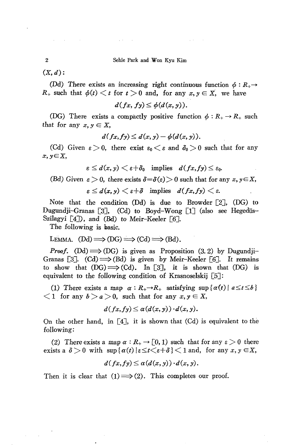$\alpha$  ,  $\alpha$  ,  $\beta$ 

 $\sim 10^{-10}$  km s  $^{-1}$  km

 $(X, d)$ :

 $\mathcal{A}(\mathbf{a})$  and  $\mathcal{A}(\mathbf{a})$  are  $\mathcal{A}(\mathbf{a})$  .

(Dd) There exists an increasing right continuous function  $\phi : R_+ \rightarrow$  $R_+$  such that  $\phi(t) < t$  for  $t > 0$  and, for any  $x, y \in X$ , we have

$$
d(fx, fy) \leq \phi(d(x, y)).
$$

(DG) There exists a compactly positive function  $\phi : R_+ \to R_+$  such that for any  $x, y \in X$ ,

$$
d(fx, fy) \leq d(x, y) - \phi(d(x, y)).
$$

(Cd) Given  $\varepsilon > 0$ , there exist  $\varepsilon_0 < \varepsilon$  and  $\delta_0 > 0$  such that for any *x,yEX,*

$$
\varepsilon \leq d(x,y) < \varepsilon + \delta_0 \quad \text{implies} \quad d(fx, fy) \leq \varepsilon_0.
$$

(Bd) Given  $\varepsilon > 0$ , there exists  $\delta = \delta(\varepsilon) > 0$  such that for any  $x, y \in X$ ,

 $\varepsilon \leq d(x,y) \leq \varepsilon + \delta$  implies  $d(fx, fy) \leq \varepsilon$ .

Note that the condition  $(Dd)$  is due to Browder  $[2]$ ,  $(DG)$  to Dugundji-Granas [3], (Cd) to Boyd-Wong [1] (also see Hegedüs-Szilagyi [4]), and (Bd) to Meir-Keeler [6].

The following is basic.

$$
LEMMA. (Dd) \Longrightarrow (DG) \Longrightarrow (Cd) \Longrightarrow (Bd).
$$

*Proof.* (Dd)  $\Longrightarrow$  (DG) is given as Proposition (3.2) by Dugundji-Granas [3]. (Cd)  $\implies$  (Bd) is given by Meir-Keeler [6]. It remains to show that  $(DG) \Longrightarrow (Cd)$ . In [3], it is shown that  $(DG)$  is equivalent to the following condition of Krasnoselskij [5J:

(1) There exists a map  $\alpha: R_{+} \rightarrow R_{+}$  satisfying sup { $\alpha(t)$  |  $a \le t \le b$  }  $\langle 1 \rangle$  for any  $b > a > 0$ , such that for any  $x, y \in X$ ,

$$
d(fx, fy) \leq \alpha(d(x, y)) \cdot d(x, y).
$$

On the other hand, in [4J, it is shown that (Cd) is equivalent to the following:

(2) There exists a map  $\alpha : R_+ \to [0, 1)$  such that for any  $\varepsilon > 0$  there exists a  $\delta > 0$  with  $\sup \{ \alpha(t) | \varepsilon \leq t < \varepsilon + \delta \} < 1$  and, for any  $x, y \in X$ ,

$$
d(fx, fy) \leq \alpha(d(x, y)) \cdot d(x, y).
$$

Then it is clear that  $(1) \implies (2)$ . This completes our proof.

2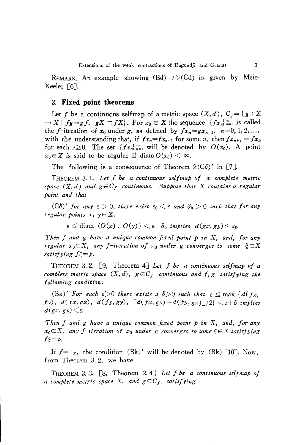REMARK. An example showing  $(Bd) \Longrightarrow (Cd)$  is given by Meir-Keeler [6J.

### 3. **Fixed point theorems**

Let f be a continuous selfmap of a metric space  $(X, d)$ ,  $C_f = \{g : X$  $\rightarrow X \mid fg = gf, gX \subset fX$ . For  $x_0 \in X$  the sequence  $\{fx_n\}_{n=1}^{\infty}$  is called the f-iteration of  $x_0$  under g, as defined by  $fx_n = gx_{n-1}$ ,  $n=0, 1, 2, ...$ , with the understanding that, if  $fx_n = fx_{n+1}$  for some *n*, then  $fx_{n+j} = fx_n$ for each  $j \ge 0$ . The set  $\{fx_n\}_{n=1}^{\infty}$  will be denoted by  $O(x_0)$ . A point  $x_0 \in X$  is said to be regular if diam  $O(x_0) < \infty$ .

The following is a consequence of Theorem  $2(C\delta)'$  in [7].

THEOREM 3. 1. *Let f be a continuous selfmap of a complete metric space*  $(X, d)$  *and*  $g \in C_f$  *continuous. Suppose that* X *contains a regular point and that*

 $($  *C* $\delta$  $)'$  *for any*  $\epsilon$   $>$  0, *there exist*  $\epsilon$ <sub>0</sub>  $<$   $\epsilon$  *and*  $\delta$ <sub>0</sub>  $>$  0 *such that for any regular points*  $x, y \in X$ ,

 $\varepsilon \leq \text{diam } (O(x) \cup O(y)) \leq \varepsilon + \delta_0$  *implies*  $d(gx, gy) \leq \varepsilon_0$ .

*Then f and g have a unique common fixed point p in* X, *and, for any regular*  $x_0 \in X$ , any *f-iteration* of  $x_0$  *under* g *converges to some*  $\xi \in X$  $satisfying f\xi = p.$ 

THEOREM 3.2.  $[9,$  Theorem  $4$ ] *Let*  $f$  *be a continuous selfmap of a complete metric space*  $(X, d)$ ,  $g \in C_f$  *continuous* and  $f, g$  *satisfying the following condition:*

(Bk)' For each  $\varepsilon > 0$  there exists a  $\delta > 0$  such that  $\varepsilon \leq \max \{d(fx,$  $f(y)$ ,  $d(fx, gx)$ ,  $d(fy, gy)$ ,  $\left[ d(fx, gy) + d(fy, gx) \right]$  $\left| 2 \right| < \varepsilon + \delta$  *implies*  $d(gx, gy) \leq \varepsilon$ .

*Then f and g have* a *unique common fixed point p in* X, *and, for any*  $x_0 \in X$ , any f-iteration of  $x_0$  under g converges to some  $\xi \in X$  satisfying  $f\xi = p$ .

If  $f=1_x$ , the condition (Bk)' will be denoted by (Bk) [10]. Now, from Theorem 3. 2, we have

THEOREM 3. 3. [8, Theorem 2. 4J *Let f be a continuous selfmap of a complete metric space* X, and  $g \in C_f$ , *satisfying*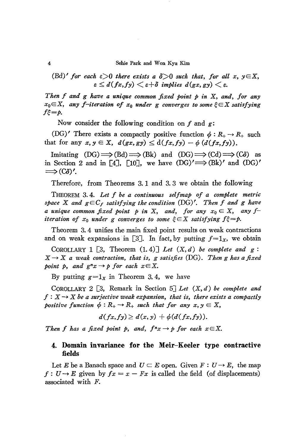#### 4 Sehie Park and Won Kyu Kim

(Bd)' for each 
$$
\varepsilon > 0
$$
 there exists a  $\delta > 0$  such that, for all  $x, y \in X$ ,  
 $\varepsilon \leq d(fx, fy) < \varepsilon + \delta$  implies  $d(gx, gy) < \varepsilon$ .

*Then f and* g *have a unique common fixed point p in* X, *and, for any*  $x_0 \in X$ , any *f*-iteration of  $x_0$  under g converges to some  $\xi \in X$  satisfying  $f_{\zeta} = p$ .

Now consider the following condition on f and  $g$ :

(DG)' There exists a compactly positive function  $\phi : R_+ \to R_+$  such that for any  $x, y \in X$ ,  $d(gx, gy) \leq d(fx, fy) - \phi(d(fx, fy)).$ 

Imitating  $(DG) \Longrightarrow (Bd) \Longrightarrow (Bk)$  and  $(DG) \Longrightarrow (Cd) \Longrightarrow (C\delta)$  as in Section 2 and in [4], [10], we have  $(DG)' \implies (Bk)'$  and  $(DG)'$  $\Longrightarrow$   $(C\delta)'$ .

Therefore, from Theorems 3.1 and 3.3 we obtain the following

THEOREM 3. 4. *Let f be a continuous selfmap of a complete metric space*  $X$  *and*  $g \in C_f$  *satisfying the condition*  $(DG)'$ . *Then*  $f$  *and*  $g$  *have a unique common fixed point*  $p$  *in*  $X$ , *and*, *for any*  $x_0 \in X$ , *any*  $f$ *iteration* of  $x_0$  *under* g *converges to some*  $\xi \in X$  *satisfying*  $f\xi = p$ .

Theorem 3. 4 unifies the main fixed point results on weak contractions and on weak expansions in [3]. In fact, by putting  $f=1_x$ , we obtain

COROLLARY 1  $\lceil 3, \text{ Theorem (1.4)} \rceil$  *Let*  $(X, d)$  *be complete and*  $g$ :  $X \rightarrow X$  *a* weak contraction, that is, g satisfies (DG). Then g has a fixed *point*  $p$ *, and*  $g^n x \rightarrow p$  *for each*  $x \in X$ .

By putting  $g=1_x$  in Theorem 3.4, we have

COROLLARY 2  $\lceil 3 \rceil$ , Remark in Section  $\lceil 5 \rceil$  *Let*  $(X, d)$  *be complete and*  $f: X \rightarrow X$  *be a surjective weak expansion, that is, there exists a compactly positive* function  $\phi: R_+ \to R_+$  such that for any  $x, y \in X$ ,

$$
d(fx, fy) \geq d(x, y) + \phi(d(fx, fy)).
$$

*Then f has a fixed point p*, *and*,  $f^n x \rightarrow p$  *for each*  $x \in X$ .

## **4. Domain invariance for the Meir-Keeler type contractive fields**

Let *E* be a Banach space and  $U \subset E$  open. Given  $F : U \to E$ , the map  $f: U \rightarrow E$  given by  $fx = x - Fx$  is called the field (of displacements) associated with F.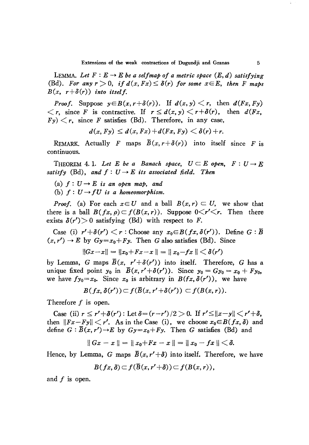LEMMA. Let  $F: E \rightarrow E$  be a selfmap of a metric space  $(E, d)$  satisfying (Bd). For any  $r > 0$ , if  $d(x, Fx) \leq \delta(r)$  for some  $x \in E$ , then F maps  $B(x, r+\delta(r))$  *into itself.* 

*Proof.* Suppose  $y \in B(x, r+\delta(r))$ . If  $d(x, y) \leq r$ , then  $d(Fx, Fy)$  $\langle r, \text{ since } F \text{ is contractive. If } r \le d(x, y) \langle r + \delta(r), \text{ then } d(Fx, y)$  $F(y) < r$ , since *F* satisfies (Bd). Therefore, in any case,

$$
d(x, Fy) \leq d(x, Fx) + d(Fx, Fy) < \delta(r) + r.
$$

REMARK. Actually F maps  $\overline{B}(x, r+\delta(r))$  into itself since F is continuous.

THEOREM 4.1. Let *E* be a Banach space,  $U \subseteq E$  open,  $F: U \rightarrow E$ *satisfy* (Bd), and  $f: U \rightarrow E$  *its* associated field. Then

- (a)  $f: U \rightarrow E$  *is an open map, and*
- (b)  $f: U \rightarrow fU$  *is a homeomorphism.*

*Proof.* (a) For each  $x \in U$  and a ball  $B(x, r) \subset U$ , we show that there is a ball  $B(fx, \rho) \subset f(B(x, r))$ . Suppose  $0 \leq r' \leq r$ . Then there exists  $\delta(r') > 0$  satisfying (Bd) with respect to *F*. exists  $\delta(r') > 0$  satisfying (Bd) with respect to F.

Case (i)  $r' + \delta(r') < r$ : Choose any  $x_0 \in B(fx, \delta(r'))$ . Define  $G : \overline{B}$  $(x, r') \rightarrow E$  by  $Gy=x_0+Fy$ . Then G also satisfies (Bd). Since

$$
||Gx-x||=||x_0+Fx-x||=||x_0-fx||<\delta(r')
$$

by Lemma, G maps  $\overline{B}(x, r' + \delta(r'))$  into itself. Therefore, G has a unique fixed point  $y_0$  in  $\overline{B}(x, r' + \delta(r'))$ . Since  $y_0 = Gy_0 = x_0 + Fy_0$ , we have  $f_{y_0}=x_0$ . Since  $x_0$  is arbitrary in  $B(fx, \delta(r'))$ , we have

$$
B(fx,\delta(r'))\subset f(\overline{B}(x,r'+\delta(r'))\subset f(B(x,r)).
$$

Therefore  $f$  is open.

Case (ii)  $r \leq r' + \delta(r')$ : Let  $\delta = (r - r')/2 > 0$ . If  $r' \leq ||x - y|| < r' + \delta$ , then  $||Fx-Fy|| < r'$ . As in the Case (i), we choose  $x_0 \in B(fx, \delta)$  and define  $G : \overline{B}(x, r') \to E$  by  $Gy = x_0 + Fy$ . Then G satisfies (Bd) and

$$
||Gx - x|| = ||x_0 + Fx - x|| = ||x_0 - fx|| < \delta.
$$

Hence, by Lemma, G maps  $\bar{B}(x, r'+\delta)$  into itself. Therefore, we have

$$
B(fx,\delta) \subset f(\overline{B}(x,r'+\delta)) \subset f(B(x,r)),
$$

and  $f$  is open.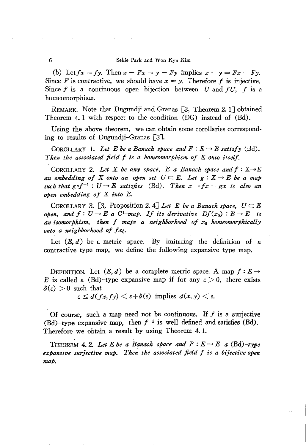## 6 Sehie Park and Won Kyu Kim

(b) Let  $fx = fy$ . Then  $x - Fx = y - Fy$  implies  $x - y = Fx - Fy$ . Since *F* is contractive, we should have  $x = y$ . Therefore *f* is injective. Since *f* is a continuous open bijection between *U* and *fU, f* is a homeomorphism.

REMARK. Note that Dugundji and Granas [3, Theorem 2.1J obtained Theorem 4.1 with respect to the condition (DG) instead of (Bd).

Using the above theorem, we can obtain some corollaries corresponding to results of Dugundji-Granas [3].

COROLLARY 1. Let *E* be a Banach space and  $F: E \to E$  satisfy (Bd). *Then the associated field f is a homeomorphism of E onto itself.*

COROLLARY 2. Let X be any space, E a Banach space and  $f: X \rightarrow E$ *an* embedding of X onto an open set  $U \subseteq E$ . Let  $g: X \rightarrow E$  be a map *such that*  $g \circ f^{-1}: U \to E$  *satisfies* (Bd). Then  $x \to fx - gx$  *is also an open embedding of* X *into E.*

COROLLARY 3. [3, Proposition 2. 4] Let E be a Banach space,  $U \subset E$ *open,* and  $f: U \to E$  a  $C^1$ -map. If its derivative  $Df(x_0): E \to E$  is *an isomorphism, then f maps a neighborhood of Xo homeomorphically onto a neighborhood of*  $fx_0$ .

Let  $(E, d)$  be a metric space. By imitating the definition of a contractive type map, we define the following expansive type map.

DEFINITION. Let  $(E, d)$  be a complete metric space. A map  $f : E \rightarrow$ E is called a (Bd)-type expansive map if for any  $\varepsilon > 0$ , there exists  $\delta(\epsilon) > 0$  such that

 $\epsilon \leq d(fx, fy) \leq \epsilon + \delta(\epsilon)$  implies  $d(x, y) \leq \epsilon$ .

Of course, such a map need not be continuous. If  $f$  is a surjective (Bd)-type expansive map, then  $f^{-1}$  is well defined and satisfies (Bd). Therefore we obtain a result by using Theorem 4. l.

THEOREM 4. 2. Let *E* be a Banach space and  $F: E \rightarrow E$  a  $(Bd)$ -type *expansive surjective map. Then the associated field f is a bijective open map.*